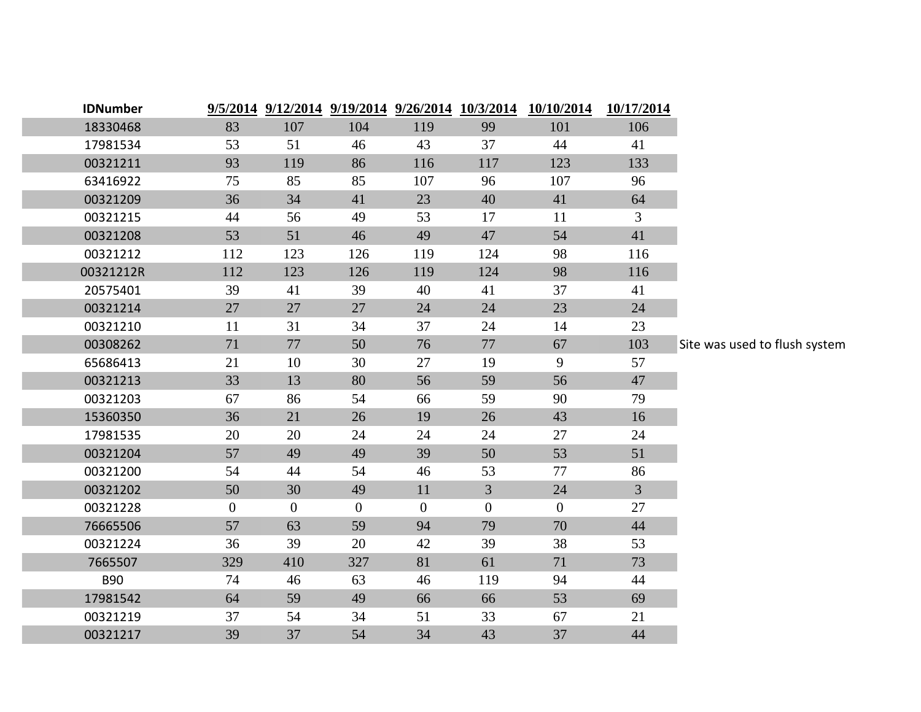| <b>IDNumber</b> |              |                |                |                | 9/5/2014 9/12/2014 9/19/2014 9/26/2014 10/3/2014 | 10/10/2014     | 10/17/2014     |                               |
|-----------------|--------------|----------------|----------------|----------------|--------------------------------------------------|----------------|----------------|-------------------------------|
| 18330468        | 83           | 107            | 104            | 119            | 99                                               | 101            | 106            |                               |
| 17981534        | 53           | 51             | 46             | 43             | 37                                               | 44             | 41             |                               |
| 00321211        | 93           | 119            | 86             | 116            | 117                                              | 123            | 133            |                               |
| 63416922        | 75           | 85             | 85             | 107            | 96                                               | 107            | 96             |                               |
| 00321209        | 36           | 34             | 41             | 23             | 40                                               | 41             | 64             |                               |
| 00321215        | 44           | 56             | 49             | 53             | 17                                               | 11             | 3              |                               |
| 00321208        | 53           | 51             | 46             | 49             | 47                                               | 54             | 41             |                               |
| 00321212        | 112          | 123            | 126            | 119            | 124                                              | 98             | 116            |                               |
| 00321212R       | 112          | 123            | 126            | 119            | 124                                              | 98             | 116            |                               |
| 20575401        | 39           | 41             | 39             | 40             | 41                                               | 37             | 41             |                               |
| 00321214        | 27           | 27             | 27             | 24             | 24                                               | 23             | 24             |                               |
| 00321210        | 11           | 31             | 34             | 37             | 24                                               | 14             | 23             |                               |
| 00308262        | 71           | 77             | 50             | 76             | 77                                               | 67             | 103            | Site was used to flush system |
| 65686413        | 21           | 10             | 30             | 27             | 19                                               | 9              | 57             |                               |
| 00321213        | 33           | 13             | 80             | 56             | 59                                               | 56             | 47             |                               |
| 00321203        | 67           | 86             | 54             | 66             | 59                                               | 90             | 79             |                               |
| 15360350        | 36           | 21             | 26             | 19             | 26                                               | 43             | 16             |                               |
| 17981535        | 20           | 20             | 24             | 24             | 24                                               | 27             | 24             |                               |
| 00321204        | 57           | 49             | 49             | 39             | 50                                               | 53             | 51             |                               |
| 00321200        | 54           | 44             | 54             | 46             | 53                                               | 77             | 86             |                               |
| 00321202        | 50           | 30             | 49             | 11             | $\overline{3}$                                   | 24             | $\overline{3}$ |                               |
| 00321228        | $\mathbf{0}$ | $\overline{0}$ | $\overline{0}$ | $\overline{0}$ | $\overline{0}$                                   | $\overline{0}$ | 27             |                               |
| 76665506        | 57           | 63             | 59             | 94             | 79                                               | 70             | 44             |                               |
| 00321224        | 36           | 39             | 20             | 42             | 39                                               | 38             | 53             |                               |
| 7665507         | 329          | 410            | 327            | 81             | 61                                               | 71             | 73             |                               |
| <b>B90</b>      | 74           | 46             | 63             | 46             | 119                                              | 94             | 44             |                               |
| 17981542        | 64           | 59             | 49             | 66             | 66                                               | 53             | 69             |                               |
| 00321219        | 37           | 54             | 34             | 51             | 33                                               | 67             | 21             |                               |
| 00321217        | 39           | 37             | 54             | 34             | 43                                               | 37             | 44             |                               |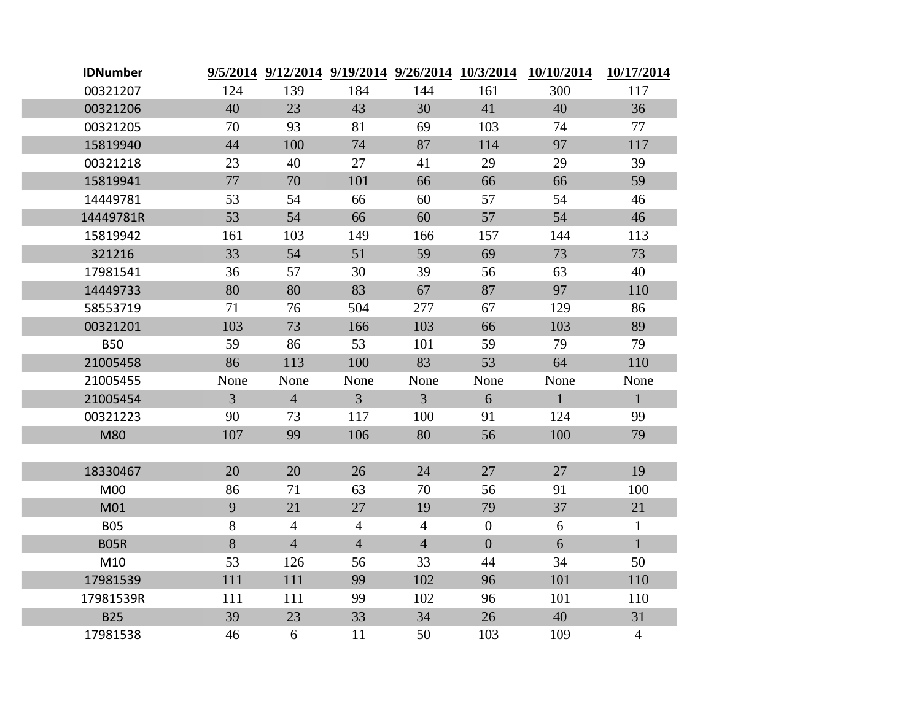| <b>IDNumber</b> |                | 9/5/2014 9/12/2014 9/19/2014 9/26/2014 10/3/2014 |                |                |                | 10/10/2014   | 10/17/2014     |
|-----------------|----------------|--------------------------------------------------|----------------|----------------|----------------|--------------|----------------|
| 00321207        | 124            | 139                                              | 184            | 144            | 161            | 300          | 117            |
| 00321206        | 40             | 23                                               | 43             | 30             | 41             | 40           | 36             |
| 00321205        | 70             | 93                                               | 81             | 69             | 103            | 74           | 77             |
| 15819940        | 44             | 100                                              | 74             | 87             | 114            | 97           | 117            |
| 00321218        | 23             | 40                                               | 27             | 41             | 29             | 29           | 39             |
| 15819941        | 77             | 70                                               | 101            | 66             | 66             | 66           | 59             |
| 14449781        | 53             | 54                                               | 66             | 60             | 57             | 54           | 46             |
| 14449781R       | 53             | 54                                               | 66             | 60             | 57             | 54           | 46             |
| 15819942        | 161            | 103                                              | 149            | 166            | 157            | 144          | 113            |
| 321216          | 33             | 54                                               | 51             | 59             | 69             | 73           | 73             |
| 17981541        | 36             | 57                                               | 30             | 39             | 56             | 63           | 40             |
| 14449733        | 80             | 80                                               | 83             | 67             | 87             | 97           | 110            |
| 58553719        | 71             | 76                                               | 504            | 277            | 67             | 129          | 86             |
| 00321201        | 103            | 73                                               | 166            | 103            | 66             | 103          | 89             |
| <b>B50</b>      | 59             | 86                                               | 53             | 101            | 59             | 79           | 79             |
| 21005458        | 86             | 113                                              | 100            | 83             | 53             | 64           | 110            |
| 21005455        | None           | None                                             | None           | None           | None           | None         | None           |
| 21005454        | $\overline{3}$ | $\overline{4}$                                   | $\overline{3}$ | $\overline{3}$ | 6              | $\mathbf{1}$ | $\mathbf{1}$   |
| 00321223        | 90             | 73                                               | 117            | 100            | 91             | 124          | 99             |
| M80             | 107            | 99                                               | 106            | 80             | 56             | 100          | 79             |
|                 |                |                                                  |                |                |                |              |                |
| 18330467        | 20             | 20                                               | 26             | 24             | 27             | 27           | 19             |
| M00             | 86             | 71                                               | 63             | 70             | 56             | 91           | 100            |
| M01             | 9              | 21                                               | 27             | 19             | 79             | 37           | 21             |
| <b>B05</b>      | $8\,$          | $\overline{4}$                                   | $\overline{4}$ | $\overline{4}$ | $\overline{0}$ | 6            | $\mathbf{1}$   |
| <b>B05R</b>     | 8              | $\overline{4}$                                   | $\overline{4}$ | $\overline{4}$ | $\overline{0}$ | 6            | $\mathbf{1}$   |
| M10             | 53             | 126                                              | 56             | 33             | 44             | 34           | 50             |
| 17981539        | 111            | 111                                              | 99             | 102            | 96             | 101          | 110            |
| 17981539R       | 111            | 111                                              | 99             | 102            | 96             | 101          | 110            |
| <b>B25</b>      | 39             | 23                                               | 33             | 34             | 26             | 40           | 31             |
| 17981538        | 46             | 6                                                | 11             | 50             | 103            | 109          | $\overline{4}$ |